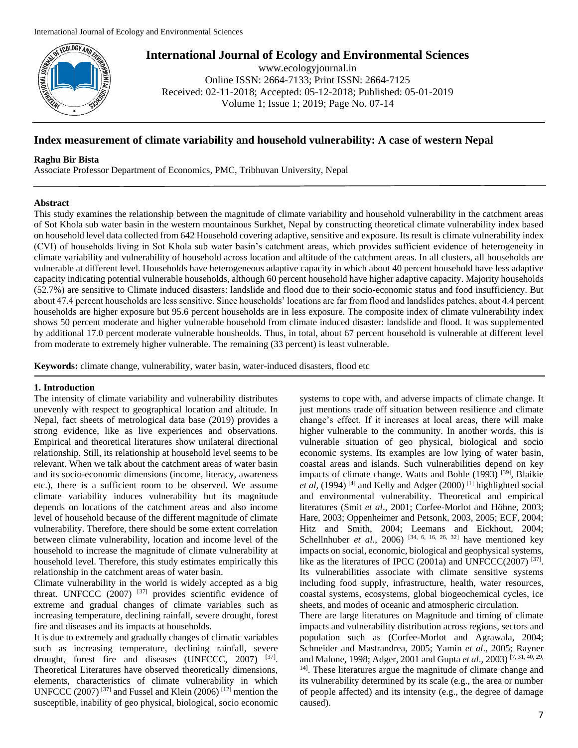

www.ecologyjournal.in Online ISSN: 2664-7133; Print ISSN: 2664-7125 Received: 02-11-2018; Accepted: 05-12-2018; Published: 05-01-2019 Volume 1; Issue 1; 2019; Page No. 07-14

# **Index measurement of climate variability and household vulnerability: A case of western Nepal**

### **Raghu Bir Bista**

Associate Professor Department of Economics, PMC, Tribhuvan University, Nepal

# **Abstract**

This study examines the relationship between the magnitude of climate variability and household vulnerability in the catchment areas of Sot Khola sub water basin in the western mountainous Surkhet, Nepal by constructing theoretical climate vulnerability index based on household level data collected from 642 Household covering adaptive, sensitive and exposure. Its result is climate vulnerability index (CVI) of households living in Sot Khola sub water basin's catchment areas, which provides sufficient evidence of heterogeneity in climate variability and vulnerability of household across location and altitude of the catchment areas. In all clusters, all households are vulnerable at different level. Households have heterogeneous adaptive capacity in which about 40 percent household have less adaptive capacity indicating potential vulnerable households, although 60 percent household have higher adaptive capacity. Majority households (52.7%) are sensitive to Climate induced disasters: landslide and flood due to their socio-economic status and food insufficiency. But about 47.4 percent households are less sensitive. Since households' locations are far from flood and landslides patches, about 4.4 percent households are higher exposure but 95.6 percent households are in less exposure. The composite index of climate vulnerability index shows 50 percent moderate and higher vulnerable household from climate induced disaster: landslide and flood. It was supplemented by additional 17.0 percent moderate vulnerable housheolds. Thus, in total, about 67 percent household is vulnerable at different level from moderate to extremely higher vulnerable. The remaining (33 percent) is least vulnerable.

**Keywords:** climate change, vulnerability, water basin, water-induced disasters, flood etc

## **1. Introduction**

The intensity of climate variability and vulnerability distributes unevenly with respect to geographical location and altitude. In Nepal, fact sheets of metrological data base (2019) provides a strong evidence, like as live experiences and observations. Empirical and theoretical literatures show unilateral directional relationship. Still, its relationship at household level seems to be relevant. When we talk about the catchment areas of water basin and its socio-economic dimensions (income, literacy, awareness etc.), there is a sufficient room to be observed. We assume climate variability induces vulnerability but its magnitude depends on locations of the catchment areas and also income level of household because of the different magnitude of climate vulnerability. Therefore, there should be some extent correlation between climate vulnerability, location and income level of the household to increase the magnitude of climate vulnerability at household level. Therefore, this study estimates empirically this relationship in the catchment areas of water basin.

Climate vulnerability in the world is widely accepted as a big threat. UNFCCC (2007) [37] provides scientific evidence of extreme and gradual changes of climate variables such as increasing temperature, declining rainfall, severe drought, forest fire and diseases and its impacts at households.

It is due to extremely and gradually changes of climatic variables such as increasing temperature, declining rainfall, severe drought, forest fire and diseases (UNFCCC, 2007) [37]. Theoretical Literatures have observed theoretically dimensions, elements, characteristics of climate vulnerability in which UNFCCC (2007)<sup>[37]</sup> and Fussel and Klein (2006)<sup>[12]</sup> mention the susceptible, inability of geo physical, biological, socio economic

systems to cope with, and adverse impacts of climate change. It just mentions trade off situation between resilience and climate change's effect. If it increases at local areas, there will make higher vulnerable to the community. In another words, this is vulnerable situation of geo physical, biological and socio economic systems. Its examples are low lying of water basin, coastal areas and islands. Such vulnerabilities depend on key impacts of climate change. Watts and Bohle (1993)<sup>[39]</sup>, Blaikie *et al*, (1994)<sup>[4]</sup> and Kelly and Adger (2000)<sup>[1]</sup> highlighted social and environmental vulnerability. Theoretical and empirical literatures (Smit *et al*., 2001; Corfee-Morlot and Höhne, 2003; Hare, 2003; Oppenheimer and Petsonk, 2003, 2005; ECF, 2004; Hitz and Smith, 2004; Leemans and Eickhout, 2004; Schellnhuber *et al.*, 2006)<sup>[34, 6, 16, 26, 32] have mentioned key</sup> impacts on social, economic, biological and geophysical systems, like as the literatures of IPCC (2001a) and UNFCCC(2007)<sup>[37]</sup>. Its vulnerabilities associate with climate sensitive systems including food supply, infrastructure, health, water resources, coastal systems, ecosystems, global biogeochemical cycles, ice sheets, and modes of oceanic and atmospheric circulation.

There are large literatures on Magnitude and timing of climate impacts and vulnerability distribution across regions, sectors and population such as (Corfee-Morlot and Agrawala, 2004; Schneider and Mastrandrea, 2005; Yamin *et al*., 2005; Rayner and Malone, 1998; Adger, 2001 and Gupta *et al*., 2003) [7, 31, 40, 29, <sup>14]</sup>. These literatures argue the magnitude of climate change and its vulnerability determined by its scale (e.g., the area or number of people affected) and its intensity (e.g., the degree of damage caused).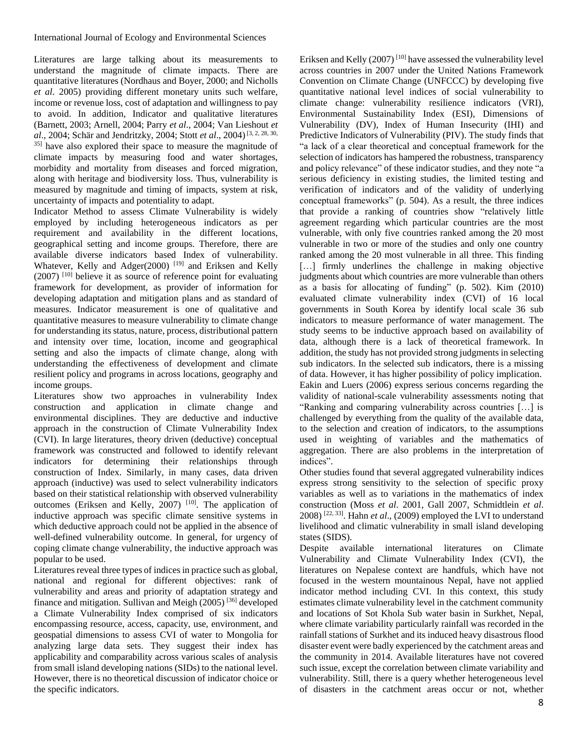Literatures are large talking about its measurements to understand the magnitude of climate impacts. There are quantitative literatures (Nordhaus and Boyer, 2000; and Nicholls *et al*. 2005) providing different monetary units such welfare, income or revenue loss, cost of adaptation and willingness to pay to avoid. In addition, Indicator and qualitative literatures (Barnett, 2003; Arnell, 2004; Parry *et al*., 2004; Van Lieshout *et al.*, 2004; Schär and Jendritzky, 2004; Stott *et al.*, 2004)<sup>[3, 2, 28, 30,</sup> 35] have also explored their space to measure the magnitude of climate impacts by measuring food and water shortages, morbidity and mortality from diseases and forced migration, along with heritage and biodiversity loss. Thus, vulnerability is measured by magnitude and timing of impacts, system at risk, uncertainty of impacts and potentiality to adapt.

Indicator Method to assess Climate Vulnerability is widely employed by including heterogeneous indicators as per requirement and availability in the different locations, geographical setting and income groups. Therefore, there are available diverse indicators based Index of vulnerability. Whatever, Kelly and Adger(2000)<sup>[19]</sup> and Eriksen and Kelly (2007) [10] believe it as source of reference point for evaluating framework for development, as provider of information for developing adaptation and mitigation plans and as standard of measures. Indicator measurement is one of qualitative and quantitative measures to measure vulnerability to climate change for understanding its status, nature, process, distributional pattern and intensity over time, location, income and geographical setting and also the impacts of climate change, along with understanding the effectiveness of development and climate resilient policy and programs in across locations, geography and income groups.

Literatures show two approaches in vulnerability Index construction and application in climate change and environmental disciplines. They are deductive and inductive approach in the construction of Climate Vulnerability Index (CVI). In large literatures, theory driven (deductive) conceptual framework was constructed and followed to identify relevant indicators for determining their relationships through construction of Index. Similarly, in many cases, data driven approach (inductive) was used to select vulnerability indicators based on their statistical relationship with observed vulnerability outcomes (Eriksen and Kelly,  $2007$ ) <sup>[10]</sup>. The application of inductive approach was specific climate sensitive systems in which deductive approach could not be applied in the absence of well-defined vulnerability outcome. In general, for urgency of coping climate change vulnerability, the inductive approach was popular to be used.

Literatures reveal three types of indices in practice such as global, national and regional for different objectives: rank of vulnerability and areas and priority of adaptation strategy and finance and mitigation. Sullivan and Meigh (2005) [36] developed a Climate Vulnerability Index comprised of six indicators encompassing resource, access, capacity, use, environment, and geospatial dimensions to assess CVI of water to Mongolia for analyzing large data sets. They suggest their index has applicability and comparability across various scales of analysis from small island developing nations (SIDs) to the national level. However, there is no theoretical discussion of indicator choice or the specific indicators.

Eriksen and Kelly (2007) [10] have assessed the vulnerability level across countries in 2007 under the United Nations Framework Convention on Climate Change (UNFCCC) by developing five quantitative national level indices of social vulnerability to climate change: vulnerability resilience indicators (VRI), Environmental Sustainability Index (ESI), Dimensions of Vulnerability (DV), Index of Human Insecurity (IHI) and Predictive Indicators of Vulnerability (PIV). The study finds that "a lack of a clear theoretical and conceptual framework for the selection of indicators has hampered the robustness, transparency and policy relevance" of these indicator studies, and they note "a serious deficiency in existing studies, the limited testing and verification of indicators and of the validity of underlying conceptual frameworks" (p. 504). As a result, the three indices that provide a ranking of countries show "relatively little agreement regarding which particular countries are the most vulnerable, with only five countries ranked among the 20 most vulnerable in two or more of the studies and only one country ranked among the 20 most vulnerable in all three. This finding [...] firmly underlines the challenge in making objective judgments about which countries are more vulnerable than others as a basis for allocating of funding" (p. 502). Kim (2010) evaluated climate vulnerability index (CVI) of 16 local governments in South Korea by identify local scale 36 sub indicators to measure performance of water management. The study seems to be inductive approach based on availability of data, although there is a lack of theoretical framework. In addition, the study has not provided strong judgments in selecting sub indicators. In the selected sub indicators, there is a missing of data. However, it has higher possibility of policy implication. Eakin and Luers (2006) express serious concerns regarding the validity of national-scale vulnerability assessments noting that "Ranking and comparing vulnerability across countries […] is challenged by everything from the quality of the available data, to the selection and creation of indicators, to the assumptions used in weighting of variables and the mathematics of aggregation. There are also problems in the interpretation of indices".

Other studies found that several aggregated vulnerability indices express strong sensitivity to the selection of specific proxy variables as well as to variations in the mathematics of index construction (Moss *et al*. 2001, Gall 2007, Schmidtlein *et al*. 2008) [22, 33]. Hahn *et al*., (2009) employed the LVI to understand livelihood and climatic vulnerability in small island developing states (SIDS).

Despite available international literatures on Climate Vulnerability and Climate Vulnerability Index (CVI), the literatures on Nepalese context are handfuls, which have not focused in the western mountainous Nepal, have not applied indicator method including CVI. In this context, this study estimates climate vulnerability level in the catchment community and locations of Sot Khola Sub water basin in Surkhet, Nepal, where climate variability particularly rainfall was recorded in the rainfall stations of Surkhet and its induced heavy disastrous flood disaster event were badly experienced by the catchment areas and the community in 2014. Available literatures have not covered such issue, except the correlation between climate variability and vulnerability. Still, there is a query whether heterogeneous level of disasters in the catchment areas occur or not, whether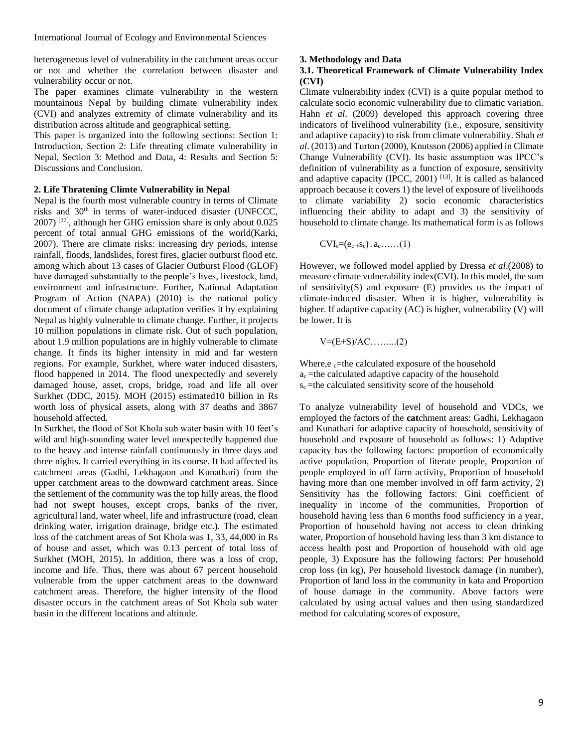heterogeneous level of vulnerability in the catchment areas occur or not and whether the correlation between disaster and vulnerability occur or not.

The paper examines climate vulnerability in the western mountainous Nepal by building climate vulnerability index (CVI) and analyzes extremity of climate vulnerability and its distribution across altitude and geographical setting.

This paper is organized into the following sections: Section 1: Introduction, Section 2: Life threating climate vulnerability in Nepal, Section 3: Method and Data, 4: Results and Section 5: Discussions and Conclusion.

#### **2. Life Thratening Climte Vulnerability in Nepal**

Nepal is the fourth most vulnerable country in terms of Climate risks and 30<sup>th</sup> in terms of water-induced disaster (UNFCCC, 2007) [37], although her GHG emission share is only about 0.025 percent of total annual GHG emissions of the world(Karki, 2007). There are climate risks: increasing dry periods, intense rainfall, floods, landslides, forest fires, glacier outburst flood etc. among which about 13 cases of Glacier Outburst Flood (GLOF) have damaged substantially to the people's lives, livestock, land, environment and infrastructure. Further, National Adaptation Program of Action (NAPA) (2010) is the national policy document of climate change adaptation verifies it by explaining Nepal as highly vulnerable to climate change. Further, it projects 10 million populations in climate risk. Out of such population, about 1.9 million populations are in highly vulnerable to climate change. It finds its higher intensity in mid and far western regions. For example, Surkhet, where water induced disasters, flood happened in 2014. The flood unexpectedly and severely damaged house, asset, crops, bridge, road and life all over Surkhet (DDC, 2015). MOH (2015) estimated10 billion in Rs worth loss of physical assets, along with 37 deaths and 3867 household affected.

In Surkhet, the flood of Sot Khola sub water basin with 10 feet's wild and high-sounding water level unexpectedly happened due to the heavy and intense rainfall continuously in three days and three nights. It carried everything in its course. It had affected its catchment areas (Gadhi, Lekhagaon and Kunathari) from the upper catchment areas to the downward catchment areas. Since the settlement of the community was the top hilly areas, the flood had not swept houses, except crops, banks of the river, agricultural land, water wheel, life and infrastructure (road, clean drinking water, irrigation drainage, bridge etc.). The estimated loss of the catchment areas of Sot Khola was 1, 33, 44,000 in Rs of house and asset, which was 0.13 percent of total loss of Surkhet (MOH, 2015). In addition, there was a loss of crop, income and life. Thus, there was about 67 percent household vulnerable from the upper catchment areas to the downward catchment areas. Therefore, the higher intensity of the flood disaster occurs in the catchment areas of Sot Khola sub water basin in the different locations and altitude.

#### **3. Methodology and Data**

# **3.1. Theoretical Framework of Climate Vulnerability Index (CVI)**

Climate vulnerability index (CVI) is a quite popular method to calculate socio economic vulnerability due to climatic variation. Hahn *et al*. (2009) developed this approach covering three indicators of livelihood vulnerability (i.e., exposure, sensitivity and adaptive capacity) to risk from climate vulnerability. Shah *et al*. (2013) and Turton (2000), Knutsson (2006) applied in Climate Change Vulnerability (CVI). Its basic assumption was IPCC's definition of vulnerability as a function of exposure, sensitivity and adaptive capacity (IPCC, 2001)  $^{[13]}$ . It is called as balanced approach because it covers 1) the level of exposure of livelihoods to climate variability 2) socio economic characteristics influencing their ability to adapt and 3) the sensitivity of household to climate change. Its mathematical form is as follows

$$
CVI_c=(e_c.s_c) . a_c. \dots . (1)
$$

However, we followed model applied by Dressa *et al*.(2008) to measure climate vulnerability index(CVI). In this model, the sum of sensitivity(S) and exposure  $(E)$  provides us the impact of climate-induced disaster. When it is higher, vulnerability is higher. If adaptive capacity (AC) is higher, vulnerability (V) will be lower. It is

 $V=(E+S)/AC$ ..........(2)

Where,  $e_c$ =the calculated exposure of the household  $a_c$  =the calculated adaptive capacity of the household  $s_c$  =the calculated sensitivity score of the household

To analyze vulnerability level of household and VDCs, we employed the factors of the **cat**chment areas: Gadhi, Lekhagaon and Kunathari for adaptive capacity of household, sensitivity of household and exposure of household as follows: 1) Adaptive capacity has the following factors: proportion of economically active population, Proportion of literate people, Proportion of people employed in off farm activity, Proportion of household having more than one member involved in off farm activity, 2) Sensitivity has the following factors: Gini coefficient of inequality in income of the communities, Proportion of household having less than 6 months food sufficiency in a year, Proportion of household having not access to clean drinking water, Proportion of household having less than 3 km distance to access health post and Proportion of household with old age people, 3) Exposure has the following factors: Per household crop loss (in kg), Per household livestock damage (in number), Proportion of land loss in the community in kata and Proportion of house damage in the community. Above factors were calculated by using actual values and then using standardized method for calculating scores of exposure,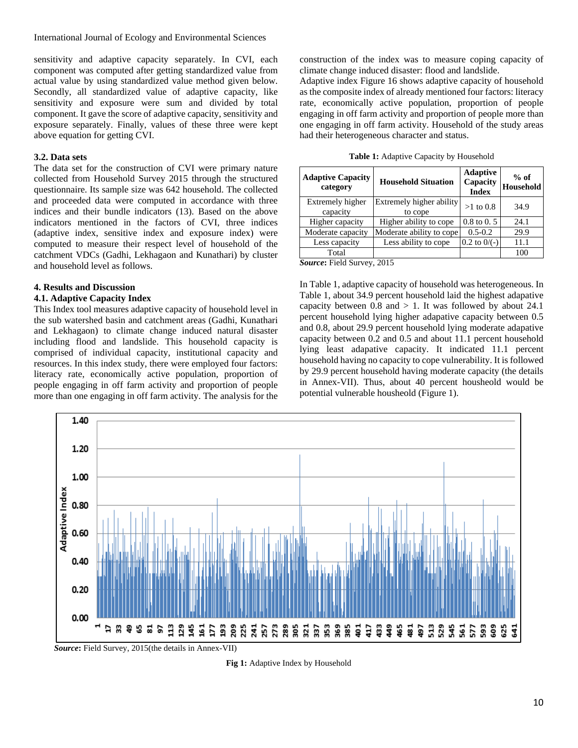sensitivity and adaptive capacity separately. In CVI, each component was computed after getting standardized value from actual value by using standardized value method given below. Secondly, all standardized value of adaptive capacity, like sensitivity and exposure were sum and divided by total component. It gave the score of adaptive capacity, sensitivity and exposure separately. Finally, values of these three were kept above equation for getting CVI.

### **3.2. Data sets**

The data set for the construction of CVI were primary nature collected from Household Survey 2015 through the structured questionnaire. Its sample size was 642 household. The collected and proceeded data were computed in accordance with three indices and their bundle indicators (13). Based on the above indicators mentioned in the factors of CVI, three indices (adaptive index, sensitive index and exposure index) were computed to measure their respect level of household of the catchment VDCs (Gadhi, Lekhagaon and Kunathari) by cluster and household level as follows.

#### **4. Results and Discussion**

#### **4.1. Adaptive Capacity Index**

This Index tool measures adaptive capacity of household level in the sub watershed basin and catchment areas (Gadhi, Kunathari and Lekhagaon) to climate change induced natural disaster including flood and landslide. This household capacity is comprised of individual capacity, institutional capacity and resources. In this index study, there were employed four factors: literacy rate, economically active population, proportion of people engaging in off farm activity and proportion of people more than one engaging in off farm activity. The analysis for the

construction of the index was to measure coping capacity of climate change induced disaster: flood and landslide.

Adaptive index Figure 16 shows adaptive capacity of household as the composite index of already mentioned four factors: literacy rate, economically active population, proportion of people engaging in off farm activity and proportion of people more than one engaging in off farm activity. Household of the study areas had their heterogeneous character and status.

| <b>Adaptive Capacity</b><br>category | <b>Household Situation</b>          | <b>Adaptive</b><br>Capacity<br><b>Index</b> | $%$ of<br>Household |  |
|--------------------------------------|-------------------------------------|---------------------------------------------|---------------------|--|
| Extremely higher<br>capacity         | Extremely higher ability<br>to cope | $>1$ to 0.8                                 | 34.9                |  |
| Higher capacity                      | Higher ability to cope              | $0.8 \text{ to } 0.5$                       | 24.1                |  |
| Moderate capacity                    | Moderate ability to cope            | $0.5 - 0.2$                                 | 29.9                |  |
| Less capacity                        | Less ability to cope                | $0.2$ to $0/(-)$                            | 11.1                |  |
| Total                                |                                     |                                             | 100                 |  |

**Table 1:** Adaptive Capacity by Household

*Source***:** Field Survey, 2015

In Table 1, adaptive capacity of household was heterogeneous. In Table 1, about 34.9 percent household laid the highest adapative capacity between  $0.8$  and  $> 1$ . It was followed by about 24.1 percent household lying higher adapative capacity between 0.5 and 0.8, about 29.9 percent household lying moderate adapative capacity between 0.2 and 0.5 and about 11.1 percent household lying least adapative capacity. It indicated 11.1 percent household having no capacity to cope vulnerability. It is followed by 29.9 percent household having moderate capacity (the details in Annex-VII). Thus, about 40 percent housheold would be potential vulnerable housheold (Figure 1).



**Fig 1:** Adaptive Index by Household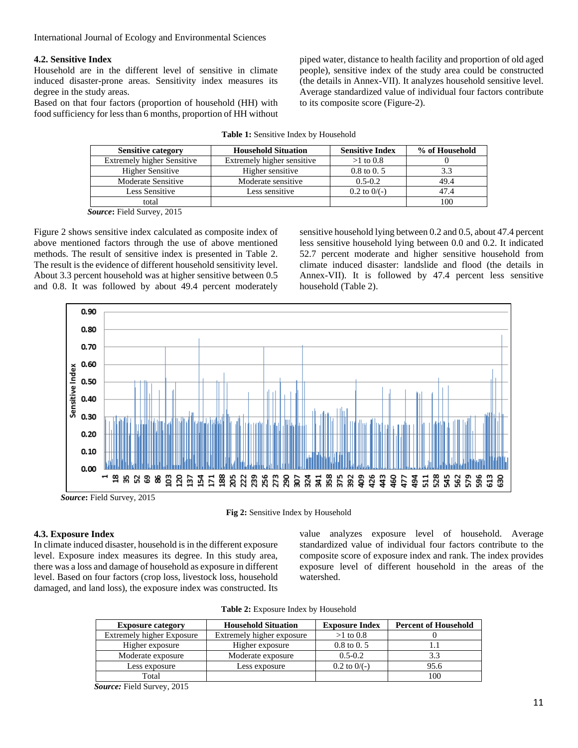#### **4.2. Sensitive Index**

Household are in the different level of sensitive in climate induced disaster-prone areas. Sensitivity index measures its degree in the study areas.

Based on that four factors (proportion of household (HH) with food sufficiency for less than 6 months, proportion of HH without

piped water, distance to health facility and proportion of old aged people), sensitive index of the study area could be constructed (the details in Annex-VII). It analyzes household sensitive level. Average standardized value of individual four factors contribute to its composite score (Figure-2).

| <b>Sensitive category</b>         | <b>Household Situation</b> | <b>Sensitive Index</b> | % of Household |
|-----------------------------------|----------------------------|------------------------|----------------|
| <b>Extremely higher Sensitive</b> | Extremely higher sensitive | $>1$ to 0.8            |                |
| <b>Higher Sensitive</b>           | Higher sensitive           | $0.8 \text{ to } 0.5$  |                |
| <b>Moderate Sensitive</b>         | Moderate sensitive         | $0.5 - 0.2$            | 49.4           |
| Less Sensitive                    | Less sensitive             | $0.2$ to $0/(-)$       | 47.4           |
| total                             |                            |                        | 100            |

**Table 1:** Sensitive Index by Household

*Source***:** Field Survey, 2015

Figure 2 shows sensitive index calculated as composite index of above mentioned factors through the use of above mentioned methods. The result of sensitive index is presented in Table 2. The result is the evidence of different household sensitivity level. About 3.3 percent household was at higher sensitive between 0.5 and 0.8. It was followed by about 49.4 percent moderately

sensitive household lying between 0.2 and 0.5, about 47.4 percent less sensitive household lying between 0.0 and 0.2. It indicated 52.7 percent moderate and higher sensitive household from climate induced disaster: landslide and flood (the details in Annex-VII). It is followed by 47.4 percent less sensitive household (Table 2).



**Fig 2:** Sensitive Index by Household

## **4.3. Exposure Index**

In climate induced disaster, household is in the different exposure level. Exposure index measures its degree. In this study area, there was a loss and damage of household as exposure in different level. Based on four factors (crop loss, livestock loss, household damaged, and land loss), the exposure index was constructed. Its

value analyzes exposure level of household. Average standardized value of individual four factors contribute to the composite score of exposure index and rank. The index provides exposure level of different household in the areas of the watershed.

| Table 2: Exposure Index by Household |  |  |  |
|--------------------------------------|--|--|--|
|                                      |  |  |  |

| <b>Exposure category</b>         | <b>Household Situation</b> | <b>Exposure Index</b> | <b>Percent of Household</b> |
|----------------------------------|----------------------------|-----------------------|-----------------------------|
| <b>Extremely higher Exposure</b> | Extremely higher exposure  | $>1$ to 0.8           |                             |
| Higher exposure                  | Higher exposure            | $0.8 \text{ to } 0.5$ |                             |
| Moderate exposure                | Moderate exposure          | $0.5 - 0.2$           | 3.3                         |
| Less exposure                    | Less exposure              | $0.2$ to $0/(-)$      | 95.6                        |
| Total                            |                            |                       | 100                         |

*Source:* Field Survey, 2015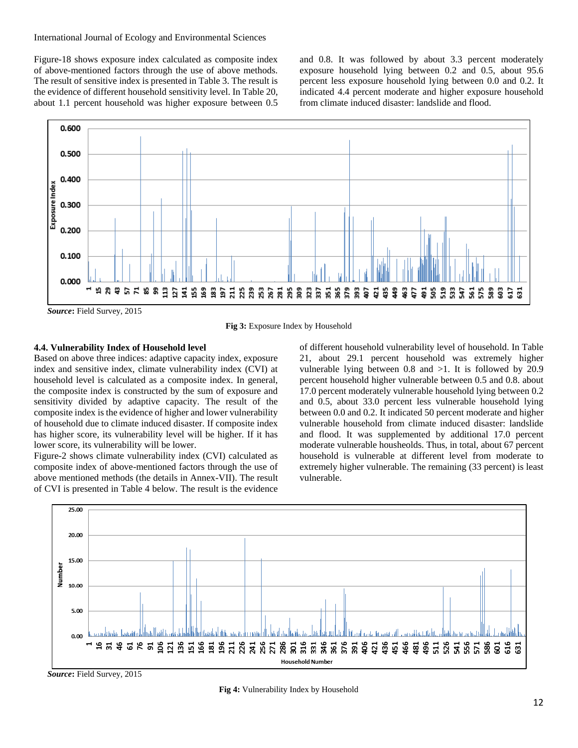Figure-18 shows exposure index calculated as composite index of above-mentioned factors through the use of above methods. The result of sensitive index is presented in Table 3. The result is the evidence of different household sensitivity level. In Table 20, about 1.1 percent household was higher exposure between 0.5

and 0.8. It was followed by about 3.3 percent moderately exposure household lying between 0.2 and 0.5, about 95.6 percent less exposure household lying between 0.0 and 0.2. It indicated 4.4 percent moderate and higher exposure household from climate induced disaster: landslide and flood.



**Fig 3:** Exposure Index by Household

# **4.4. Vulnerability Index of Household level**

Based on above three indices: adaptive capacity index, exposure index and sensitive index, climate vulnerability index (CVI) at household level is calculated as a composite index. In general, the composite index is constructed by the sum of exposure and sensitivity divided by adaptive capacity. The result of the composite index is the evidence of higher and lower vulnerability of household due to climate induced disaster. If composite index has higher score, its vulnerability level will be higher. If it has lower score, its vulnerability will be lower.

Figure-2 shows climate vulnerability index (CVI) calculated as composite index of above-mentioned factors through the use of above mentioned methods (the details in Annex-VII). The result of CVI is presented in Table 4 below. The result is the evidence

of different household vulnerability level of household. In Table 21, about 29.1 percent household was extremely higher vulnerable lying between 0.8 and >1. It is followed by 20.9 percent household higher vulnerable between 0.5 and 0.8. about 17.0 percent moderately vulnerable household lying between 0.2 and 0.5, about 33.0 percent less vulnerable household lying between 0.0 and 0.2. It indicated 50 percent moderate and higher vulnerable household from climate induced disaster: landslide and flood. It was supplemented by additional 17.0 percent moderate vulnerable housheolds. Thus, in total, about 67 percent household is vulnerable at different level from moderate to extremely higher vulnerable. The remaining (33 percent) is least vulnerable.



*Source***:** Field Survey, 2015

**Fig 4:** Vulnerability Index by Household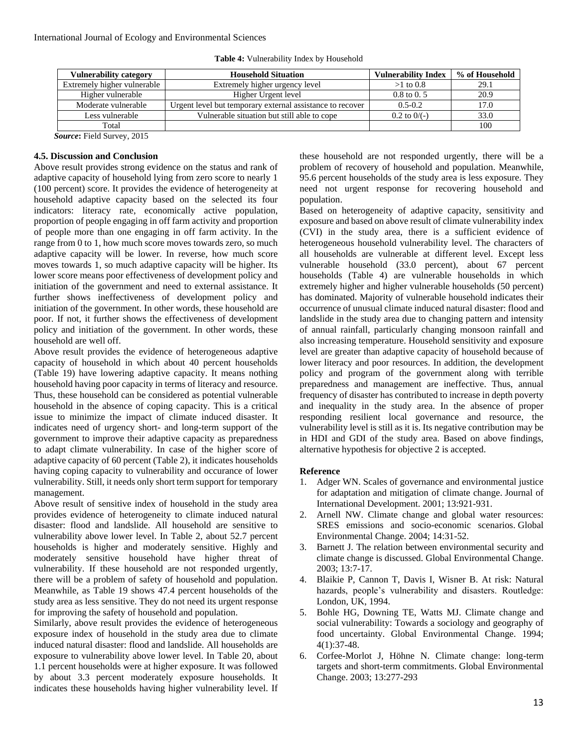| <b>Vulnerability category</b> | <b>Household Situation</b>                                | <b>Vulnerability Index</b> | % of Household |
|-------------------------------|-----------------------------------------------------------|----------------------------|----------------|
| Extremely higher vulnerable   | Extremely higher urgency level                            | $>1$ to 0.8                | 29.1           |
| Higher vulnerable             | Higher Urgent level                                       | $0.8 \text{ to } 0.5$      | 20.9           |
| Moderate vulnerable           | Urgent level but temporary external assistance to recover | $0.5 - 0.2$                | l 7.0          |
| Less vulnerable               | Vulnerable situation but still able to cope               | $0.2$ to $0/(-)$           | 33.0           |
| Total                         |                                                           |                            | 100            |

**Table 4:** Vulnerability Index by Household

*Source***:** Field Survey, 2015

#### **4.5. Discussion and Conclusion**

Above result provides strong evidence on the status and rank of adaptive capacity of household lying from zero score to nearly 1 (100 percent) score. It provides the evidence of heterogeneity at household adaptive capacity based on the selected its four indicators: literacy rate, economically active population, proportion of people engaging in off farm activity and proportion of people more than one engaging in off farm activity. In the range from 0 to 1, how much score moves towards zero, so much adaptive capacity will be lower. In reverse, how much score moves towards 1, so much adaptive capacity will be higher. Its lower score means poor effectiveness of development policy and initiation of the government and need to external assistance. It further shows ineffectiveness of development policy and initiation of the government. In other words, these household are poor. If not, it further shows the effectiveness of development policy and initiation of the government. In other words, these household are well off.

Above result provides the evidence of heterogeneous adaptive capacity of household in which about 40 percent households (Table 19) have lowering adaptive capacity. It means nothing household having poor capacity in terms of literacy and resource. Thus, these household can be considered as potential vulnerable household in the absence of coping capacity. This is a critical issue to minimize the impact of climate induced disaster. It indicates need of urgency short- and long-term support of the government to improve their adaptive capacity as preparedness to adapt climate vulnerability. In case of the higher score of adaptive capacity of 60 percent (Table 2), it indicates households having coping capacity to vulnerability and occurance of lower vulnerability. Still, it needs only short term support for temporary management.

Above result of sensitive index of household in the study area provides evidence of heterogeneity to climate induced natural disaster: flood and landslide. All household are sensitive to vulnerability above lower level. In Table 2, about 52.7 percent households is higher and moderately sensitive. Highly and moderately sensitive household have higher threat of vulnerability. If these household are not responded urgently, there will be a problem of safety of household and population. Meanwhile, as Table 19 shows 47.4 percent households of the study area as less sensitive. They do not need its urgent response for improving the safety of household and population.

Similarly, above result provides the evidence of heterogeneous exposure index of household in the study area due to climate induced natural disaster: flood and landslide. All households are exposure to vulnerability above lower level. In Table 20, about 1.1 percent households were at higher exposure. It was followed by about 3.3 percent moderately exposure households. It indicates these households having higher vulnerability level. If

these household are not responded urgently, there will be a problem of recovery of household and population. Meanwhile, 95.6 percent households of the study area is less exposure. They need not urgent response for recovering household and population.

Based on heterogeneity of adaptive capacity, sensitivity and exposure and based on above result of climate vulnerability index (CVI) in the study area, there is a sufficient evidence of heterogeneous household vulnerability level. The characters of all households are vulnerable at different level. Except less vulnerable household (33.0 percent), about 67 percent households (Table 4) are vulnerable households in which extremely higher and higher vulnerable households (50 percent) has dominated. Majority of vulnerable household indicates their occurrence of unusual climate induced natural disaster: flood and landslide in the study area due to changing pattern and intensity of annual rainfall, particularly changing monsoon rainfall and also increasing temperature. Household sensitivity and exposure level are greater than adaptive capacity of household because of lower literacy and poor resources. In addition, the development policy and program of the government along with terrible preparedness and management are ineffective. Thus, annual frequency of disaster has contributed to increase in depth poverty and inequality in the study area. In the absence of proper responding resilient local governance and resource, the vulnerability level is still as it is. Its negative contribution may be in HDI and GDI of the study area. Based on above findings, alternative hypothesis for objective 2 is accepted.

## **Reference**

- 1. Adger WN. Scales of governance and environmental justice for adaptation and mitigation of climate change. Journal of International Development. 2001; 13:921-931.
- 2. Arnell NW. Climate change and global water resources: SRES emissions and socio-economic scenarios. Global Environmental Change. 2004; 14:31-52.
- 3. Barnett J. The relation between environmental security and climate change is discussed. Global Environmental Change. 2003; 13:7-17.
- 4. Blaikie P, Cannon T, Davis I, Wisner B. At risk: Natural hazards, people's vulnerability and disasters. Routledge: London, UK, 1994.
- 5. Bohle HG, Downing TE, Watts MJ. Climate change and social vulnerability: Towards a sociology and geography of food uncertainty. Global Environmental Change. 1994; 4(1):37-48.
- 6. Corfee-Morlot J, Höhne N. Climate change: long-term targets and short-term commitments. Global Environmental Change. 2003; 13:277-293